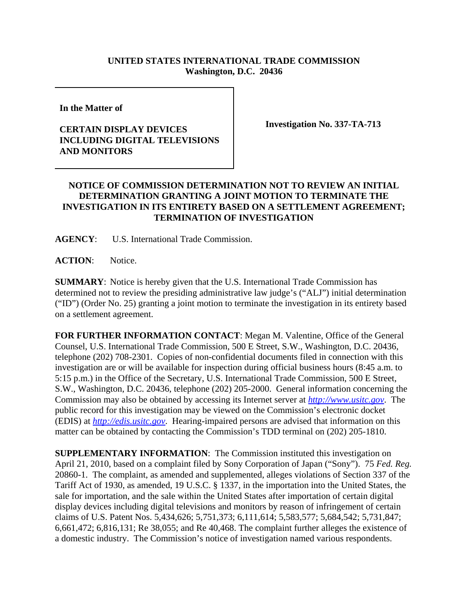## **UNITED STATES INTERNATIONAL TRADE COMMISSION Washington, D.C. 20436**

**In the Matter of** 

## **CERTAIN DISPLAY DEVICES INCLUDING DIGITAL TELEVISIONS AND MONITORS**

**Investigation No. 337-TA-713**

## **NOTICE OF COMMISSION DETERMINATION NOT TO REVIEW AN INITIAL DETERMINATION GRANTING A JOINT MOTION TO TERMINATE THE INVESTIGATION IN ITS ENTIRETY BASED ON A SETTLEMENT AGREEMENT; TERMINATION OF INVESTIGATION**

**AGENCY**: U.S. International Trade Commission.

**ACTION**: Notice.

**SUMMARY**: Notice is hereby given that the U.S. International Trade Commission has determined not to review the presiding administrative law judge's ("ALJ") initial determination ("ID") (Order No. 25) granting a joint motion to terminate the investigation in its entirety based on a settlement agreement.

**FOR FURTHER INFORMATION CONTACT**: Megan M. Valentine, Office of the General Counsel, U.S. International Trade Commission, 500 E Street, S.W., Washington, D.C. 20436, telephone (202) 708-2301. Copies of non-confidential documents filed in connection with this investigation are or will be available for inspection during official business hours (8:45 a.m. to 5:15 p.m.) in the Office of the Secretary, U.S. International Trade Commission, 500 E Street, S.W., Washington, D.C. 20436, telephone (202) 205-2000. General information concerning the Commission may also be obtained by accessing its Internet server at *http://www.usitc.gov*. The public record for this investigation may be viewed on the Commission's electronic docket (EDIS) at *http://edis.usitc.gov*. Hearing-impaired persons are advised that information on this matter can be obtained by contacting the Commission's TDD terminal on (202) 205-1810.

**SUPPLEMENTARY INFORMATION:** The Commission instituted this investigation on April 21, 2010, based on a complaint filed by Sony Corporation of Japan ("Sony"). 75 *Fed. Reg.* 20860-1. The complaint, as amended and supplemented, alleges violations of Section 337 of the Tariff Act of 1930, as amended, 19 U.S.C. § 1337, in the importation into the United States, the sale for importation, and the sale within the United States after importation of certain digital display devices including digital televisions and monitors by reason of infringement of certain claims of U.S. Patent Nos. 5,434,626; 5,751,373; 6,111,614; 5,583,577; 5,684,542; 5,731,847; 6,661,472; 6,816,131; Re 38,055; and Re 40,468. The complaint further alleges the existence of a domestic industry. The Commission's notice of investigation named various respondents.